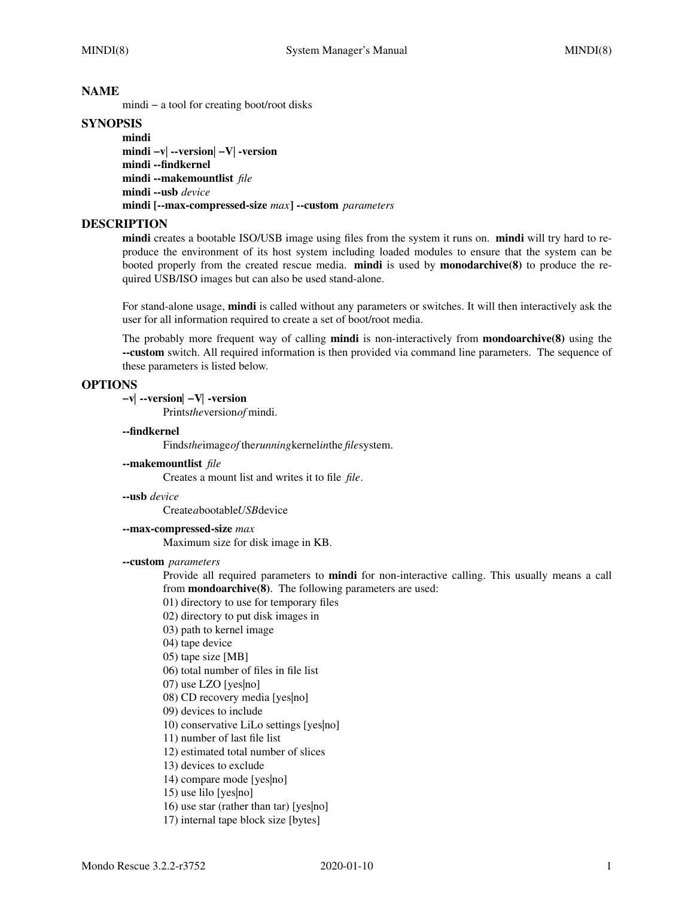### **NAME**

mindi − a tool for creating boot/root disks

# **SYNOPSIS**

**mindi mindi −v**| **--version**| **−V**| **-version mindi --findkernel mindi --makemountlist** *file* **mindi --usb** *device* **mindi [--max-compressed-size** *max***] --custom** *parameters*

## **DESCRIPTION**

**mindi** creates a bootable ISO/USB image using files from the system it runs on. **mindi** will try hard to reproduce the environment of its host system including loaded modules to ensure that the system can be booted properly from the created rescue media. **mindi** is used by **monodarchive(8)** to produce the required USB/ISO images but can also be used stand-alone.

For stand-alone usage, **mindi** is called without any parameters or switches. It will then interactively ask the user for all information required to create a set of boot/root media.

The probably more frequent way of calling **mindi** is non-interactively from **mondoarchive(8)** using the **--custom** switch. All required information is then provided via command line parameters. The sequence of these parameters is listed below.

### **OPTIONS**

**−v***|* **--version***|* **−V***|* **-version**

Prints*the*version*of* mindi.

#### **--findkernel**

Finds*the*image*of*the*running*kernel*in*the *file*system.

**--makemountlist** *file*

Creates a mount list and writes it to file *file*.

**--usb** *device*

Create*a*bootable*USB*device

**--max-compressed-size** *max*

Maximum size for disk image in KB.

#### **--custom** *parameters*

Provide all required parameters to **mindi** for non-interactive calling. This usually means a call from **mondoarchive(8)**. The following parameters are used:

- 01) directory to use for temporary files
- 02) directory to put disk images in
- 03) path to kernel image
- 04) tape device
- 05) tape size [MB]
- 06) total number of files in file list
- 07) use LZO [yes|no]
- 08) CD recovery media [yes|no]
- 09) devices to include
- 10) conservative LiLo settings [yes|no]
- 11) number of last file list
- 12) estimated total number of slices
- 13) devices to exclude
- 14) compare mode [yes|no]
- 15) use lilo [yes|no]
- 16) use star (rather than tar) [yes|no]
- 17) internal tape block size [bytes]